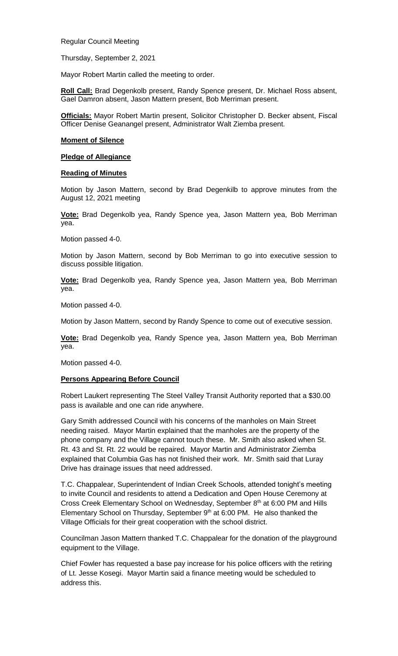Regular Council Meeting

Thursday, September 2, 2021

Mayor Robert Martin called the meeting to order.

**Roll Call:** Brad Degenkolb present, Randy Spence present, Dr. Michael Ross absent, Gael Damron absent, Jason Mattern present, Bob Merriman present.

**Officials:** Mayor Robert Martin present, Solicitor Christopher D. Becker absent, Fiscal Officer Denise Geanangel present, Administrator Walt Ziemba present.

# **Moment of Silence**

### **Pledge of Allegiance**

### **Reading of Minutes**

Motion by Jason Mattern, second by Brad Degenkilb to approve minutes from the August 12, 2021 meeting

**Vote:** Brad Degenkolb yea, Randy Spence yea, Jason Mattern yea, Bob Merriman yea.

Motion passed 4-0.

Motion by Jason Mattern, second by Bob Merriman to go into executive session to discuss possible litigation.

**Vote:** Brad Degenkolb yea, Randy Spence yea, Jason Mattern yea, Bob Merriman yea.

Motion passed 4-0.

Motion by Jason Mattern, second by Randy Spence to come out of executive session.

**Vote:** Brad Degenkolb yea, Randy Spence yea, Jason Mattern yea, Bob Merriman yea.

Motion passed 4-0.

# **Persons Appearing Before Council**

Robert Laukert representing The Steel Valley Transit Authority reported that a \$30.00 pass is available and one can ride anywhere.

Gary Smith addressed Council with his concerns of the manholes on Main Street needing raised. Mayor Martin explained that the manholes are the property of the phone company and the Village cannot touch these. Mr. Smith also asked when St. Rt. 43 and St. Rt. 22 would be repaired. Mayor Martin and Administrator Ziemba explained that Columbia Gas has not finished their work. Mr. Smith said that Luray Drive has drainage issues that need addressed.

T.C. Chappalear, Superintendent of Indian Creek Schools, attended tonight's meeting to invite Council and residents to attend a Dedication and Open House Ceremony at Cross Creek Elementary School on Wednesday, September 8<sup>th</sup> at 6:00 PM and Hills Elementary School on Thursday, September  $9<sup>th</sup>$  at 6:00 PM. He also thanked the Village Officials for their great cooperation with the school district.

Councilman Jason Mattern thanked T.C. Chappalear for the donation of the playground equipment to the Village.

Chief Fowler has requested a base pay increase for his police officers with the retiring of Lt. Jesse Kosegi. Mayor Martin said a finance meeting would be scheduled to address this.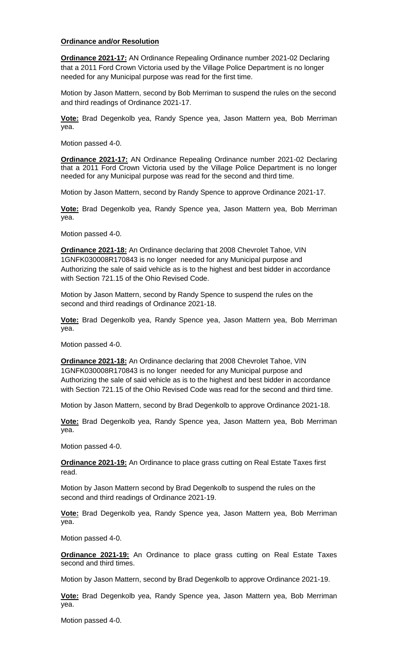# **Ordinance and/or Resolution**

**Ordinance 2021-17:** AN Ordinance Repealing Ordinance number 2021-02 Declaring that a 2011 Ford Crown Victoria used by the Village Police Department is no longer needed for any Municipal purpose was read for the first time.

Motion by Jason Mattern, second by Bob Merriman to suspend the rules on the second and third readings of Ordinance 2021-17.

**Vote:** Brad Degenkolb yea, Randy Spence yea, Jason Mattern yea, Bob Merriman yea.

Motion passed 4-0.

**Ordinance 2021-17:** AN Ordinance Repealing Ordinance number 2021-02 Declaring that a 2011 Ford Crown Victoria used by the Village Police Department is no longer needed for any Municipal purpose was read for the second and third time.

Motion by Jason Mattern, second by Randy Spence to approve Ordinance 2021-17.

**Vote:** Brad Degenkolb yea, Randy Spence yea, Jason Mattern yea, Bob Merriman yea.

Motion passed 4-0.

**Ordinance 2021-18:** An Ordinance declaring that 2008 Chevrolet Tahoe, VIN 1GNFK030008R170843 is no longer needed for any Municipal purpose and Authorizing the sale of said vehicle as is to the highest and best bidder in accordance with Section 721.15 of the Ohio Revised Code.

Motion by Jason Mattern, second by Randy Spence to suspend the rules on the second and third readings of Ordinance 2021-18.

**Vote:** Brad Degenkolb yea, Randy Spence yea, Jason Mattern yea, Bob Merriman yea.

Motion passed 4-0.

**Ordinance 2021-18:** An Ordinance declaring that 2008 Chevrolet Tahoe, VIN 1GNFK030008R170843 is no longer needed for any Municipal purpose and Authorizing the sale of said vehicle as is to the highest and best bidder in accordance with Section 721.15 of the Ohio Revised Code was read for the second and third time.

Motion by Jason Mattern, second by Brad Degenkolb to approve Ordinance 2021-18.

**Vote:** Brad Degenkolb yea, Randy Spence yea, Jason Mattern yea, Bob Merriman yea.

Motion passed 4-0.

**Ordinance 2021-19:** An Ordinance to place grass cutting on Real Estate Taxes first read.

Motion by Jason Mattern second by Brad Degenkolb to suspend the rules on the second and third readings of Ordinance 2021-19.

**Vote:** Brad Degenkolb yea, Randy Spence yea, Jason Mattern yea, Bob Merriman yea.

Motion passed 4-0.

**Ordinance 2021-19:** An Ordinance to place grass cutting on Real Estate Taxes second and third times.

Motion by Jason Mattern, second by Brad Degenkolb to approve Ordinance 2021-19.

**Vote:** Brad Degenkolb yea, Randy Spence yea, Jason Mattern yea, Bob Merriman yea.

Motion passed 4-0.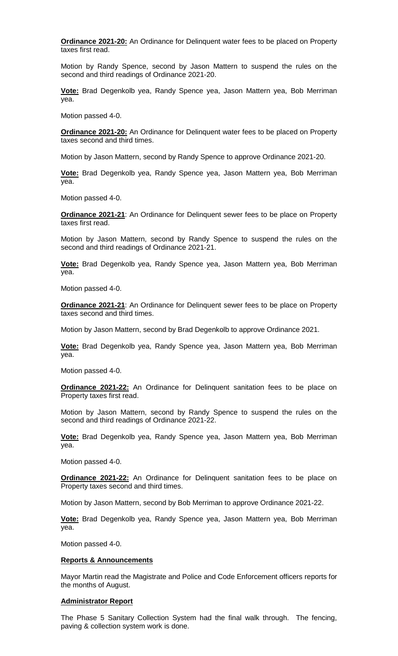**Ordinance 2021-20:** An Ordinance for Delinquent water fees to be placed on Property taxes first read.

Motion by Randy Spence, second by Jason Mattern to suspend the rules on the second and third readings of Ordinance 2021-20.

**Vote:** Brad Degenkolb yea, Randy Spence yea, Jason Mattern yea, Bob Merriman yea.

Motion passed 4-0.

**Ordinance 2021-20:** An Ordinance for Delinquent water fees to be placed on Property taxes second and third times.

Motion by Jason Mattern, second by Randy Spence to approve Ordinance 2021-20.

**Vote:** Brad Degenkolb yea, Randy Spence yea, Jason Mattern yea, Bob Merriman yea.

Motion passed 4-0.

**Ordinance 2021-21**: An Ordinance for Delinquent sewer fees to be place on Property taxes first read.

Motion by Jason Mattern, second by Randy Spence to suspend the rules on the second and third readings of Ordinance 2021-21.

**Vote:** Brad Degenkolb yea, Randy Spence yea, Jason Mattern yea, Bob Merriman yea.

Motion passed 4-0.

**Ordinance 2021-21**: An Ordinance for Delinquent sewer fees to be place on Property taxes second and third times.

Motion by Jason Mattern, second by Brad Degenkolb to approve Ordinance 2021.

**Vote:** Brad Degenkolb yea, Randy Spence yea, Jason Mattern yea, Bob Merriman yea.

Motion passed 4-0.

**Ordinance 2021-22:** An Ordinance for Delinquent sanitation fees to be place on Property taxes first read.

Motion by Jason Mattern, second by Randy Spence to suspend the rules on the second and third readings of Ordinance 2021-22.

**Vote:** Brad Degenkolb yea, Randy Spence yea, Jason Mattern yea, Bob Merriman yea.

Motion passed 4-0.

**Ordinance 2021-22:** An Ordinance for Delinquent sanitation fees to be place on Property taxes second and third times.

Motion by Jason Mattern, second by Bob Merriman to approve Ordinance 2021-22.

**Vote:** Brad Degenkolb yea, Randy Spence yea, Jason Mattern yea, Bob Merriman yea.

Motion passed 4-0.

### **Reports & Announcements**

Mayor Martin read the Magistrate and Police and Code Enforcement officers reports for the months of August.

#### **Administrator Report**

The Phase 5 Sanitary Collection System had the final walk through. The fencing, paving & collection system work is done.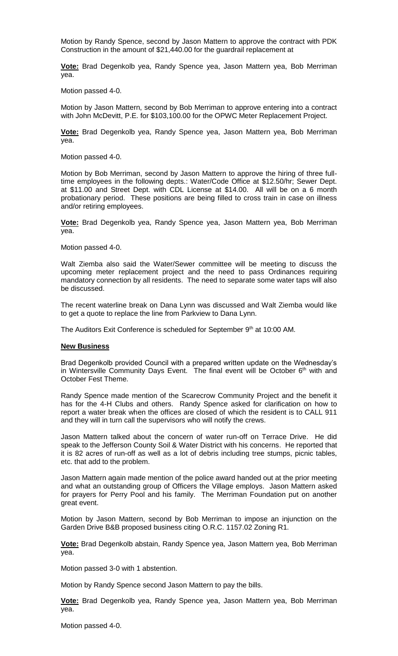Motion by Randy Spence, second by Jason Mattern to approve the contract with PDK Construction in the amount of \$21,440.00 for the guardrail replacement at

**Vote:** Brad Degenkolb yea, Randy Spence yea, Jason Mattern yea, Bob Merriman yea.

Motion passed 4-0.

Motion by Jason Mattern, second by Bob Merriman to approve entering into a contract with John McDevitt, P.E. for \$103,100.00 for the OPWC Meter Replacement Project.

**Vote:** Brad Degenkolb yea, Randy Spence yea, Jason Mattern yea, Bob Merriman yea.

Motion passed 4-0.

Motion by Bob Merriman, second by Jason Mattern to approve the hiring of three fulltime employees in the following depts.: Water/Code Office at \$12.50/hr; Sewer Dept. at \$11.00 and Street Dept. with CDL License at \$14.00. All will be on a 6 month probationary period. These positions are being filled to cross train in case on illness and/or retiring employees.

**Vote:** Brad Degenkolb yea, Randy Spence yea, Jason Mattern yea, Bob Merriman yea.

Motion passed 4-0.

Walt Ziemba also said the Water/Sewer committee will be meeting to discuss the upcoming meter replacement project and the need to pass Ordinances requiring mandatory connection by all residents. The need to separate some water taps will also be discussed.

The recent waterline break on Dana Lynn was discussed and Walt Ziemba would like to get a quote to replace the line from Parkview to Dana Lynn.

The Auditors Exit Conference is scheduled for September 9<sup>th</sup> at 10:00 AM.

# **New Business**

Brad Degenkolb provided Council with a prepared written update on the Wednesday's in Wintersville Community Days Event. The final event will be October  $6<sup>th</sup>$  with and October Fest Theme.

Randy Spence made mention of the Scarecrow Community Project and the benefit it has for the 4-H Clubs and others. Randy Spence asked for clarification on how to report a water break when the offices are closed of which the resident is to CALL 911 and they will in turn call the supervisors who will notify the crews.

Jason Mattern talked about the concern of water run-off on Terrace Drive. He did speak to the Jefferson County Soil & Water District with his concerns. He reported that it is 82 acres of run-off as well as a lot of debris including tree stumps, picnic tables, etc. that add to the problem.

Jason Mattern again made mention of the police award handed out at the prior meeting and what an outstanding group of Officers the Village employs. Jason Mattern asked for prayers for Perry Pool and his family. The Merriman Foundation put on another great event.

Motion by Jason Mattern, second by Bob Merriman to impose an injunction on the Garden Drive B&B proposed business citing O.R.C. 1157.02 Zoning R1.

**Vote:** Brad Degenkolb abstain, Randy Spence yea, Jason Mattern yea, Bob Merriman yea.

Motion passed 3-0 with 1 abstention.

Motion by Randy Spence second Jason Mattern to pay the bills.

**Vote:** Brad Degenkolb yea, Randy Spence yea, Jason Mattern yea, Bob Merriman yea.

Motion passed 4-0.